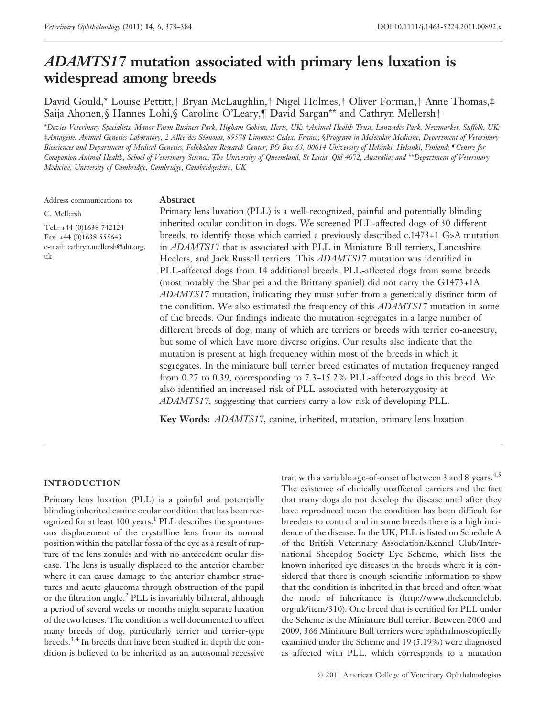# ADAMTS17 mutation associated with primary lens luxation is widespread among breeds

David Gould,\* Louise Pettitt,† Bryan McLaughlin,† Nigel Holmes,† Oliver Forman,† Anne Thomas,‡ Saija Ahonen,§ Hannes Lohi,§ Caroline O'Leary,– David Sargan\*\* and Cathryn Mellersh†

\*Davies Veterinary Specialists, Manor Farm Business Park, Higham Gobion, Herts, UK; †Animal Health Trust, Lanwades Park, Newmarket, Suffolk, UK; ‡Antagene, Animal Genetics Laboratory, 2 Alle´e des Se´quoias, 69578 Limonest Cedex, France; §Program in Molecular Medicine, Department of Veterinary Biosciences and Department of Medical Genetics, Folkhälsan Research Center, PO Box 63, 00014 University of Helsinki, Helsinki, Finland; "Centre for Companion Animal Health, School of Veterinary Science, The University of Queensland, St Lucia, Qld 4072, Australia; and \*\*Department of Veterinary Medicine, University of Cambridge, Cambridge, Cambridgeshire, UK

Address communications to:

#### C. Mellersh

Tel.: +44 (0)1638 742124 Fax: +44 (0)1638 555643 e-mail: cathryn.mellersh@aht.org. uk

#### Abstract

Primary lens luxation (PLL) is a well-recognized, painful and potentially blinding inherited ocular condition in dogs. We screened PLL-affected dogs of 30 different breeds, to identify those which carried a previously described c.1473+1 G>A mutation in ADAMTS17 that is associated with PLL in Miniature Bull terriers, Lancashire Heelers, and Jack Russell terriers. This ADAMTS17 mutation was identified in PLL-affected dogs from 14 additional breeds. PLL-affected dogs from some breeds (most notably the Shar pei and the Brittany spaniel) did not carry the G1473+1A ADAMTS17 mutation, indicating they must suffer from a genetically distinct form of the condition. We also estimated the frequency of this ADAMTS17 mutation in some of the breeds. Our findings indicate the mutation segregates in a large number of different breeds of dog, many of which are terriers or breeds with terrier co-ancestry, but some of which have more diverse origins. Our results also indicate that the mutation is present at high frequency within most of the breeds in which it segregates. In the miniature bull terrier breed estimates of mutation frequency ranged from 0.27 to 0.39, corresponding to 7.3–15.2% PLL-affected dogs in this breed. We also identified an increased risk of PLL associated with heterozygosity at ADAMTS17, suggesting that carriers carry a low risk of developing PLL.

Key Words: ADAMTS17, canine, inherited, mutation, primary lens luxation

## INTRODUCTION

Primary lens luxation (PLL) is a painful and potentially blinding inherited canine ocular condition that has been recognized for at least 100 years.<sup>1</sup> PLL describes the spontaneous displacement of the crystalline lens from its normal position within the patellar fossa of the eye as a result of rupture of the lens zonules and with no antecedent ocular disease. The lens is usually displaced to the anterior chamber where it can cause damage to the anterior chamber structures and acute glaucoma through obstruction of the pupil or the filtration angle.<sup>2</sup> PLL is invariably bilateral, although a period of several weeks or months might separate luxation of the two lenses. The condition is well documented to affect many breeds of dog, particularly terrier and terrier-type breeds.<sup>3,4</sup> In breeds that have been studied in depth the condition is believed to be inherited as an autosomal recessive

trait with a variable age-of-onset of between 3 and 8 years.<sup>4,5</sup> The existence of clinically unaffected carriers and the fact that many dogs do not develop the disease until after they have reproduced mean the condition has been difficult for breeders to control and in some breeds there is a high incidence of the disease. In the UK, PLL is listed on Schedule A of the British Veterinary Association/Kennel Club/International Sheepdog Society Eye Scheme, which lists the known inherited eye diseases in the breeds where it is considered that there is enough scientific information to show that the condition is inherited in that breed and often what the mode of inheritance is (http://www.thekennelclub. org.uk/item/310). One breed that is certified for PLL under the Scheme is the Miniature Bull terrier. Between 2000 and 2009, 366 Miniature Bull terriers were ophthalmoscopically examined under the Scheme and 19 (5.19%) were diagnosed as affected with PLL, which corresponds to a mutation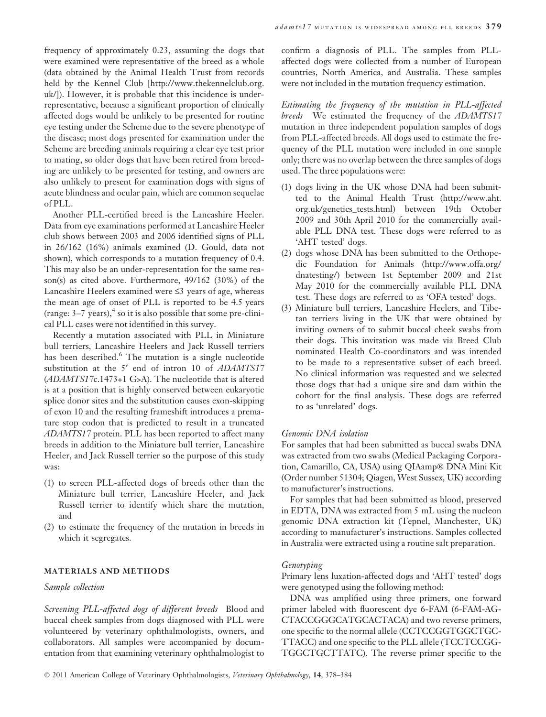frequency of approximately 0.23, assuming the dogs that were examined were representative of the breed as a whole (data obtained by the Animal Health Trust from records held by the Kennel Club [http://www.thekennelclub.org. uk/]). However, it is probable that this incidence is underrepresentative, because a significant proportion of clinically affected dogs would be unlikely to be presented for routine eye testing under the Scheme due to the severe phenotype of the disease; most dogs presented for examination under the Scheme are breeding animals requiring a clear eye test prior to mating, so older dogs that have been retired from breeding are unlikely to be presented for testing, and owners are also unlikely to present for examination dogs with signs of acute blindness and ocular pain, which are common sequelae of PLL.

Another PLL-certified breed is the Lancashire Heeler. Data from eye examinations performed at Lancashire Heeler club shows between 2003 and 2006 identified signs of PLL in 26/162 (16%) animals examined (D. Gould, data not shown), which corresponds to a mutation frequency of 0.4. This may also be an under-representation for the same reason(s) as cited above. Furthermore, 49/162 (30%) of the Lancashire Heelers examined were  $\leq$  years of age, whereas the mean age of onset of PLL is reported to be 4.5 years (range:  $3-7$  years),<sup>4</sup> so it is also possible that some pre-clinical PLL cases were not identified in this survey.

Recently a mutation associated with PLL in Miniature bull terriers, Lancashire Heelers and Jack Russell terriers has been described.<sup>6</sup> The mutation is a single nucleotide substitution at the 5' end of intron 10 of ADAMTS17 (ADAMTS17c.1473+1 G>A). The nucleotide that is altered is at a position that is highly conserved between eukaryotic splice donor sites and the substitution causes exon-skipping of exon 10 and the resulting frameshift introduces a premature stop codon that is predicted to result in a truncated ADAMTS17 protein. PLL has been reported to affect many breeds in addition to the Miniature bull terrier, Lancashire Heeler, and Jack Russell terrier so the purpose of this study was:

- (1) to screen PLL-affected dogs of breeds other than the Miniature bull terrier, Lancashire Heeler, and Jack Russell terrier to identify which share the mutation, and
- (2) to estimate the frequency of the mutation in breeds in which it segregates.

## MATERIALS AND METHODS

## Sample collection

Screening PLL-affected dogs of different breeds Blood and buccal cheek samples from dogs diagnosed with PLL were volunteered by veterinary ophthalmologists, owners, and collaborators. All samples were accompanied by documentation from that examining veterinary ophthalmologist to

confirm a diagnosis of PLL. The samples from PLLaffected dogs were collected from a number of European countries, North America, and Australia. These samples were not included in the mutation frequency estimation.

Estimating the frequency of the mutation in PLL-affected breeds We estimated the frequency of the ADAMTS17 mutation in three independent population samples of dogs from PLL-affected breeds. All dogs used to estimate the frequency of the PLL mutation were included in one sample only; there was no overlap between the three samples of dogs used. The three populations were:

- (1) dogs living in the UK whose DNA had been submitted to the Animal Health Trust (http://www.aht. org.uk/genetics\_tests.html) between 19th October 2009 and 30th April 2010 for the commercially available PLL DNA test. These dogs were referred to as 'AHT tested' dogs.
- (2) dogs whose DNA has been submitted to the Orthopedic Foundation for Animals (http://www.offa.org/ dnatesting/) between 1st September 2009 and 21st May 2010 for the commercially available PLL DNA test. These dogs are referred to as 'OFA tested' dogs.
- (3) Miniature bull terriers, Lancashire Heelers, and Tibetan terriers living in the UK that were obtained by inviting owners of to submit buccal cheek swabs from their dogs. This invitation was made via Breed Club nominated Health Co-coordinators and was intended to be made to a representative subset of each breed. No clinical information was requested and we selected those dogs that had a unique sire and dam within the cohort for the final analysis. These dogs are referred to as 'unrelated' dogs.

#### Genomic DNA isolation

For samples that had been submitted as buccal swabs DNA was extracted from two swabs (Medical Packaging Corporation, Camarillo, CA, USA) using QIAamp® DNA Mini Kit (Order number 51304; Qiagen, West Sussex, UK) according to manufacturer's instructions.

For samples that had been submitted as blood, preserved in EDTA, DNA was extracted from 5 mL using the nucleon genomic DNA extraction kit (Tepnel, Manchester, UK) according to manufacturer's instructions. Samples collected in Australia were extracted using a routine salt preparation.

#### Genotyping

Primary lens luxation-affected dogs and 'AHT tested' dogs were genotyped using the following method:

DNA was amplified using three primers, one forward primer labeled with fluorescent dye 6-FAM (6-FAM-AG-CTACCGGGCATGCACTACA) and two reverse primers, one specific to the normal allele (CCTCCGGTGGCTGC-TTACC) and one specific to the PLL allele (TCCTCCGG-TGGCTGCTTATC). The reverse primer specific to the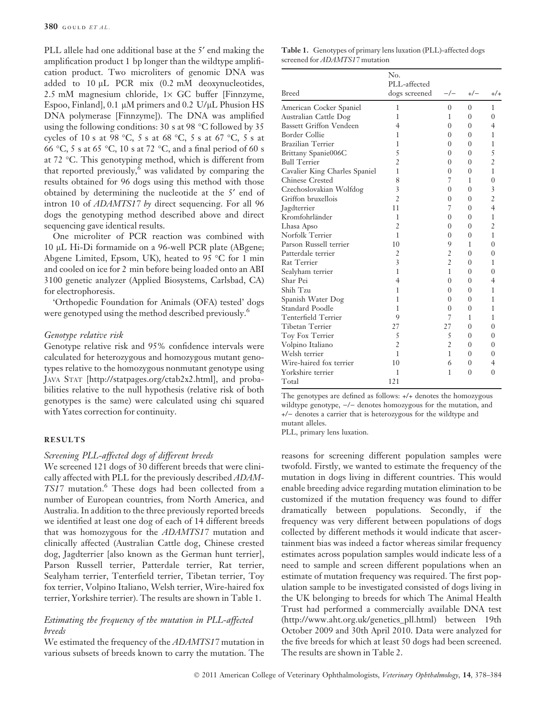PLL allele had one additional base at the 5' end making the amplification product 1 bp longer than the wildtype amplification product. Two microliters of genomic DNA was added to  $10 \mu L$  PCR mix  $(0.2 \text{ mM}$  deoxynucleotides, 2.5 mM magnesium chloride,  $1 \times$  GC buffer [Finnzyme, Espoo, Finland], 0.1  $\mu$ M primers and 0.2 U/ $\mu$ L Phusion HS DNA polymerase [Finnzyme]). The DNA was amplified using the following conditions: 30 s at 98  $\degree$ C followed by 35 cycles of 10 s at 98 °C, 5 s at 68 °C, 5 s at 67 °C, 5 s at 66 °C, 5 s at 65 °C, 10 s at 72 °C, and a final period of 60 s at 72 °C. This genotyping method, which is different from that reported previously, $\delta$  was validated by comparing the results obtained for 96 dogs using this method with those obtained by determining the nucleotide at the 5' end of intron 10 of ADAMTS17 by direct sequencing. For all 96 dogs the genotyping method described above and direct sequencing gave identical results.

One microliter of PCR reaction was combined with 10 µL Hi-Di formamide on a 96-well PCR plate (ABgene; Abgene Limited, Epsom, UK), heated to 95 °C for 1 min and cooled on ice for 2 min before being loaded onto an ABI 3100 genetic analyzer (Applied Biosystems, Carlsbad, CA) for electrophoresis.

'Orthopedic Foundation for Animals (OFA) tested' dogs were genotyped using the method described previously.<sup>6</sup>

# Genotype relative risk

Genotype relative risk and 95% confidence intervals were calculated for heterozygous and homozygous mutant genotypes relative to the homozygous nonmutant genotype using JAVA STAT [http://statpages.org/ctab2x2.html], and probabilities relative to the null hypothesis (relative risk of both genotypes is the same) were calculated using chi squared with Yates correction for continuity.

#### RESULTS

# Screening PLL-affected dogs of different breeds

We screened 121 dogs of 30 different breeds that were clinically affected with PLL for the previously described ADAM-TS17 mutation.<sup>6</sup> These dogs had been collected from a number of European countries, from North America, and Australia. In addition to the three previously reported breeds we identified at least one dog of each of 14 different breeds that was homozygous for the ADAMTS17 mutation and clinically affected (Australian Cattle dog, Chinese crested dog, Jagdterrier [also known as the German hunt terrier], Parson Russell terrier, Patterdale terrier, Rat terrier, Sealyham terrier, Tenterfield terrier, Tibetan terrier, Toy fox terrier, Volpino Italiano, Welsh terrier, Wire-haired fox terrier, Yorkshire terrier). The results are shown in Table 1.

# Estimating the frequency of the mutation in PLL-affected breeds

We estimated the frequency of the ADAMTS17 mutation in various subsets of breeds known to carry the mutation. The

| Table 1. Genotypes of primary lens luxation (PLL)-affected dogs |  |
|-----------------------------------------------------------------|--|
| screened for <i>ADAMTS17</i> mutation                           |  |

|                                | N <sub>0</sub> .        |                |              |                |
|--------------------------------|-------------------------|----------------|--------------|----------------|
| <b>Breed</b>                   | PLL-affected            | $-/-$          | $+/-$        |                |
|                                | dogs screened           |                |              | $^{+/+}$       |
| American Cocker Spaniel        | 1                       | $\Omega$       | 0            | 1              |
| Australian Cattle Dog          | 1                       | 1              | $\theta$     | 0              |
| <b>Bassett Griffon Vendeen</b> | 4                       | $\theta$       | $\theta$     | 4              |
| <b>Border Collie</b>           | 1                       | 0              | 0            | 1              |
| <b>Brazilian Terrier</b>       | 1                       | 0              | $\theta$     | 1              |
| Brittany Spanie006C            | 5                       | 0              | 0            | 5              |
| <b>Bull Terrier</b>            | $\overline{2}$          | $\theta$       | $\theta$     | $\overline{2}$ |
| Cavalier King Charles Spaniel  | 1                       | 0              | 0            | 1              |
| <b>Chinese Crested</b>         | 8                       | 7              | 1            | $\theta$       |
| Czechoslovakian Wolfdog        | 3                       | 0              | 0            | 3              |
| Griffon bruxellois             | $\overline{2}$          | 0              | $\theta$     | $\overline{c}$ |
| Jagdterrier                    | 11                      | 7              | $\theta$     | $\overline{4}$ |
| Kromfohrländer                 | 1                       | $\Omega$       | 0            | 1              |
| Lhasa Apso                     | $\overline{2}$          | 0              | 0            | $\overline{2}$ |
| Norfolk Terrier                | 1                       | 0              | 0            | 1              |
| Parson Russell terrier         | 10                      | 9              | 1            | 0              |
| Patterdale terrier             | 2                       | 2              | 0            | 0              |
| Rat Terrier                    | $\overline{\mathbf{3}}$ | $\overline{2}$ | $\theta$     | 1              |
| Sealyham terrier               | 1                       | 1              | $\theta$     | $\theta$       |
| Shar Pei                       | $\overline{4}$          | $\Omega$       | $\theta$     | 4              |
| Shih Tzu                       | 1                       | 0              | 0            | 1              |
| Spanish Water Dog              | 1                       | $\Omega$       | $\theta$     | 1              |
| <b>Standard Poodle</b>         | 1                       | 0              | 0            | 1              |
| Tenterfield Terrier            | 9                       | 7              | 1            | 1              |
| <b>Tibetan Terrier</b>         | 27                      | 27             | $\theta$     | 0              |
| Toy Fox Terrier                | 5                       | 5              | 0            | 0              |
| Volpino Italiano               | 2                       | 2              | 0            | 0              |
| Welsh terrier                  | 1                       | 1              | 0            | 0              |
| Wire-haired fox terrier        | 10                      | 6              | 0            | 4              |
| Yorkshire terrier              | 1                       | 1              | $\mathbf{0}$ | $\overline{0}$ |
| Total                          | 121                     |                |              |                |

The genotypes are defined as follows: +/+ denotes the homozygous wildtype genotype,  $-/-$  denotes homozygous for the mutation, and  $+/-$  denotes a carrier that is heterozygous for the wildtype and mutant alleles.

PLL, primary lens luxation.

reasons for screening different population samples were twofold. Firstly, we wanted to estimate the frequency of the mutation in dogs living in different countries. This would enable breeding advice regarding mutation elimination to be customized if the mutation frequency was found to differ dramatically between populations. Secondly, if the frequency was very different between populations of dogs collected by different methods it would indicate that ascertainment bias was indeed a factor whereas similar frequency estimates across population samples would indicate less of a need to sample and screen different populations when an estimate of mutation frequency was required. The first population sample to be investigated consisted of dogs living in the UK belonging to breeds for which The Animal Health Trust had performed a commercially available DNA test (http://www.aht.org.uk/genetics\_pll.html) between 19th October 2009 and 30th April 2010. Data were analyzed for the five breeds for which at least 50 dogs had been screened. The results are shown in Table 2.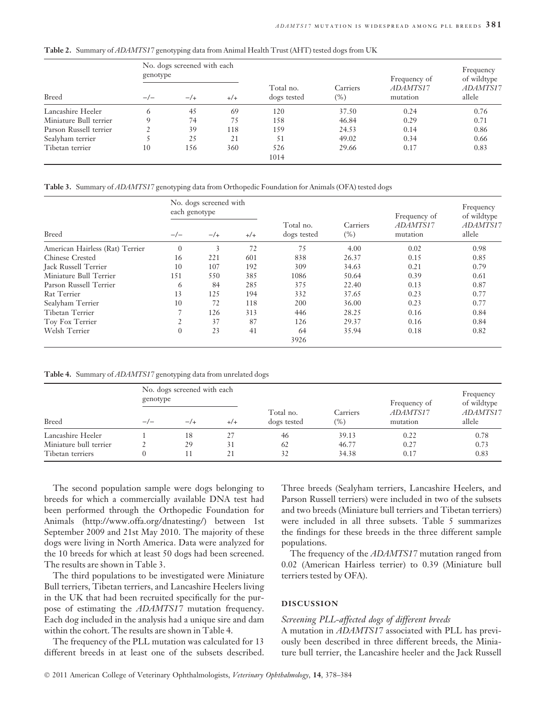|                        | No. dogs screened with each<br>genotype |                |       |                          |                    | Frequency of         | Frequency<br>of wildtype |
|------------------------|-----------------------------------------|----------------|-------|--------------------------|--------------------|----------------------|--------------------------|
| Breed                  | $-\/-$                                  | $-\frac{1}{2}$ | $+/-$ | Total no.<br>dogs tested | Carriers<br>$(\%)$ | ADAMTS17<br>mutation | ADAMTS17<br>allele       |
| Lancashire Heeler      | 6                                       | 45             | 69    | 120                      | 37.50              | 0.24                 | 0.76                     |
| Miniature Bull terrier |                                         | 74             | 75    | 158                      | 46.84              | 0.29                 | 0.71                     |
| Parson Russell terrier |                                         | 39             | 118   | 159                      | 24.53              | 0.14                 | 0.86                     |
| Sealyham terrier       |                                         | 25             | 21    | 51                       | 49.02              | 0.34                 | 0.66                     |
| Tibetan terrier        | 10                                      | 156            | 360   | 526<br>1014              | 29.66              | 0.17                 | 0.83                     |

Table 2. Summary of ADAMTS17 genotyping data from Animal Health Trust (AHT) tested dogs from UK

Table 3. Summary of ADAMTS17 genotyping data from Orthopedic Foundation for Animals (OFA) tested dogs

|                                 | No. dogs screened with<br>each genotype |                |       |                          |                    | Frequency of         | Frequency<br>of wildtype |
|---------------------------------|-----------------------------------------|----------------|-------|--------------------------|--------------------|----------------------|--------------------------|
| <b>Breed</b>                    | $-/-$                                   | $-\frac{1}{2}$ | $+/-$ | Total no.<br>dogs tested | Carriers<br>$(\%)$ | ADAMTS17<br>mutation | ADAMTS17<br>allele       |
| American Hairless (Rat) Terrier | $\overline{0}$                          | 3              | 72    | 75                       | 4.00               | 0.02                 | 0.98                     |
| Chinese Crested                 | 16                                      | 221            | 601   | 838                      | 26.37              | 0.15                 | 0.85                     |
| Jack Russell Terrier            | 10                                      | 107            | 192   | 309                      | 34.63              | 0.21                 | 0.79                     |
| Miniature Bull Terrier          | 151                                     | 550            | 385   | 1086                     | 50.64              | 0.39                 | 0.61                     |
| Parson Russell Terrier          | 6                                       | 84             | 285   | 375                      | 22.40              | 0.13                 | 0.87                     |
| Rat Terrier                     | 13                                      | 125            | 194   | 332                      | 37.65              | 0.23                 | 0.77                     |
| Sealyham Terrier                | 10                                      | 72             | 118   | 200                      | 36.00              | 0.23                 | 0.77                     |
| Tibetan Terrier                 | 7                                       | 126            | 313   | 446                      | 28.25              | 0.16                 | 0.84                     |
| Toy Fox Terrier                 | $\overline{2}$                          | 37             | 87    | 126                      | 29.37              | 0.16                 | 0.84                     |
| Welsh Terrier                   | $\overline{0}$                          | 23             | 41    | 64<br>3926               | 35.94              | 0.18                 | 0.82                     |

Table 4. Summary of ADAMTS17 genotyping data from unrelated dogs

|                        | No. dogs screened with each<br>genotype |      |       |                                                    |                      | Frequency of       | Frequency<br>of wildtype |
|------------------------|-----------------------------------------|------|-------|----------------------------------------------------|----------------------|--------------------|--------------------------|
| <b>Breed</b>           | $-\prime -$                             | $-1$ | $+/-$ | Total no.<br><b>Carriers</b><br>(%)<br>dogs tested | ADAMTS17<br>mutation | ADAMTS17<br>allele |                          |
| Lancashire Heeler      |                                         | 18   | 27    | 46                                                 | 39.13                | 0.22               | 0.78                     |
| Miniature bull terrier |                                         | 29   | 31    | 62                                                 | 46.77                | 0.27               | 0.73                     |
| Tibetan terriers       |                                         |      | 21    | 32                                                 | 34.38                | 0.17               | 0.83                     |

The second population sample were dogs belonging to breeds for which a commercially available DNA test had been performed through the Orthopedic Foundation for Animals (http://www.offa.org/dnatesting/) between 1st September 2009 and 21st May 2010. The majority of these dogs were living in North America. Data were analyzed for the 10 breeds for which at least 50 dogs had been screened. The results are shown in Table 3.

The third populations to be investigated were Miniature Bull terriers, Tibetan terriers, and Lancashire Heelers living in the UK that had been recruited specifically for the purpose of estimating the ADAMTS17 mutation frequency. Each dog included in the analysis had a unique sire and dam within the cohort. The results are shown in Table 4.

The frequency of the PLL mutation was calculated for 13 different breeds in at least one of the subsets described. Three breeds (Sealyham terriers, Lancashire Heelers, and Parson Russell terriers) were included in two of the subsets and two breeds (Miniature bull terriers and Tibetan terriers) were included in all three subsets. Table 5 summarizes the findings for these breeds in the three different sample populations.

The frequency of the *ADAMTS17* mutation ranged from 0.02 (American Hairless terrier) to 0.39 (Miniature bull terriers tested by OFA).

## DISCUSSION

# Screening PLL-affected dogs of different breeds

A mutation in ADAMTS17 associated with PLL has previously been described in three different breeds, the Miniature bull terrier, the Lancashire heeler and the Jack Russell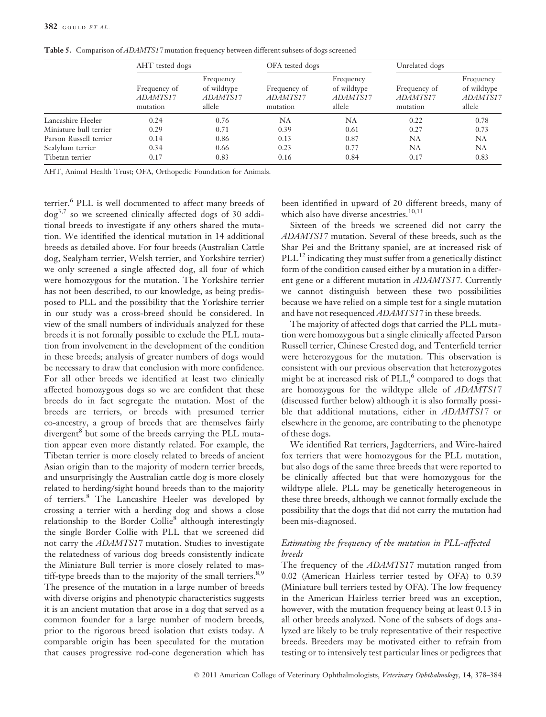Table 5. Comparison of ADAMTS17 mutation frequency between different subsets of dogs screened

|                        | AHT tested dogs                      |                                                | OFA tested dogs                             |                                                       | Unrelated dogs                              |                                                |
|------------------------|--------------------------------------|------------------------------------------------|---------------------------------------------|-------------------------------------------------------|---------------------------------------------|------------------------------------------------|
|                        | Frequency of<br>ADAMTS17<br>mutation | Frequency<br>of wildtype<br>ADAMTS17<br>allele | Frequency of<br><i>ADAMTS17</i><br>mutation | Frequency<br>of wildtype<br><i>ADAMTS17</i><br>allele | Frequency of<br><i>ADAMTS17</i><br>mutation | Frequency<br>of wildtype<br>ADAMTS17<br>allele |
| Lancashire Heeler      | 0.24                                 | 0.76                                           | NA                                          | NA                                                    | 0.22                                        | 0.78                                           |
| Miniature bull terrier | 0.29                                 | 0.71                                           | 0.39                                        | 0.61                                                  | 0.27                                        | 0.73                                           |
| Parson Russell terrier | 0.14                                 | 0.86                                           | 0.13                                        | 0.87                                                  | NA                                          | NA                                             |
| Sealyham terrier       | 0.34                                 | 0.66                                           | 0.23                                        | 0.77                                                  | NA                                          | <b>NA</b>                                      |
| Tibetan terrier        | 0.17                                 | 0.83                                           | 0.16                                        | 0.84                                                  | 0.17                                        | 0.83                                           |

AHT, Animal Health Trust; OFA, Orthopedic Foundation for Animals.

terrier.<sup>6</sup> PLL is well documented to affect many breeds of dog3,7 so we screened clinically affected dogs of 30 additional breeds to investigate if any others shared the mutation. We identified the identical mutation in 14 additional breeds as detailed above. For four breeds (Australian Cattle dog, Sealyham terrier, Welsh terrier, and Yorkshire terrier) we only screened a single affected dog, all four of which were homozygous for the mutation. The Yorkshire terrier has not been described, to our knowledge, as being predisposed to PLL and the possibility that the Yorkshire terrier in our study was a cross-breed should be considered. In view of the small numbers of individuals analyzed for these breeds it is not formally possible to exclude the PLL mutation from involvement in the development of the condition in these breeds; analysis of greater numbers of dogs would be necessary to draw that conclusion with more confidence. For all other breeds we identified at least two clinically affected homozygous dogs so we are confident that these breeds do in fact segregate the mutation. Most of the breeds are terriers, or breeds with presumed terrier co-ancestry, a group of breeds that are themselves fairly divergent<sup>8</sup> but some of the breeds carrying the PLL mutation appear even more distantly related. For example, the Tibetan terrier is more closely related to breeds of ancient Asian origin than to the majority of modern terrier breeds, and unsurprisingly the Australian cattle dog is more closely related to herding/sight hound breeds than to the majority of terriers.<sup>8</sup> The Lancashire Heeler was developed by crossing a terrier with a herding dog and shows a close relationship to the Border Collie<sup>8</sup> although interestingly the single Border Collie with PLL that we screened did not carry the ADAMTS17 mutation. Studies to investigate the relatedness of various dog breeds consistently indicate the Miniature Bull terrier is more closely related to mastiff-type breeds than to the majority of the small terriers.<sup>8,9</sup> The presence of the mutation in a large number of breeds with diverse origins and phenotypic characteristics suggests it is an ancient mutation that arose in a dog that served as a common founder for a large number of modern breeds, prior to the rigorous breed isolation that exists today. A comparable origin has been speculated for the mutation that causes progressive rod-cone degeneration which has

been identified in upward of 20 different breeds, many of which also have diverse ancestries.<sup>10,11</sup>

Sixteen of the breeds we screened did not carry the ADAMTS17 mutation. Several of these breeds, such as the Shar Pei and the Brittany spaniel, are at increased risk of  $PLL^{12}$  indicating they must suffer from a genetically distinct form of the condition caused either by a mutation in a different gene or a different mutation in ADAMTS17. Currently we cannot distinguish between these two possibilities because we have relied on a simple test for a single mutation and have not resequenced ADAMTS17 in these breeds.

The majority of affected dogs that carried the PLL mutation were homozygous but a single clinically affected Parson Russell terrier, Chinese Crested dog, and Tenterfield terrier were heterozygous for the mutation. This observation is consistent with our previous observation that heterozygotes might be at increased risk of PLL,<sup>6</sup> compared to dogs that are homozygous for the wildtype allele of ADAMTS17 (discussed further below) although it is also formally possible that additional mutations, either in ADAMTS17 or elsewhere in the genome, are contributing to the phenotype of these dogs.

We identified Rat terriers, Jagdterriers, and Wire-haired fox terriers that were homozygous for the PLL mutation, but also dogs of the same three breeds that were reported to be clinically affected but that were homozygous for the wildtype allele. PLL may be genetically heterogeneous in these three breeds, although we cannot formally exclude the possibility that the dogs that did not carry the mutation had been mis-diagnosed.

# Estimating the frequency of the mutation in PLL-affected breeds

The frequency of the ADAMTS17 mutation ranged from 0.02 (American Hairless terrier tested by OFA) to 0.39 (Miniature bull terriers tested by OFA). The low frequency in the American Hairless terrier breed was an exception, however, with the mutation frequency being at least 0.13 in all other breeds analyzed. None of the subsets of dogs analyzed are likely to be truly representative of their respective breeds. Breeders may be motivated either to refrain from testing or to intensively test particular lines or pedigrees that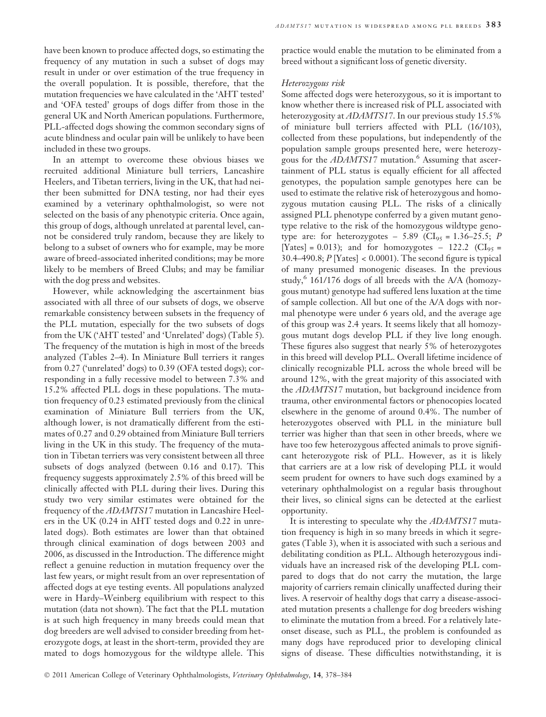have been known to produce affected dogs, so estimating the frequency of any mutation in such a subset of dogs may result in under or over estimation of the true frequency in the overall population. It is possible, therefore, that the mutation frequencies we have calculated in the 'AHT tested' and 'OFA tested' groups of dogs differ from those in the general UK and North American populations. Furthermore, PLL-affected dogs showing the common secondary signs of acute blindness and ocular pain will be unlikely to have been included in these two groups.

In an attempt to overcome these obvious biases we recruited additional Miniature bull terriers, Lancashire Heelers, and Tibetan terriers, living in the UK, that had neither been submitted for DNA testing, nor had their eyes examined by a veterinary ophthalmologist, so were not selected on the basis of any phenotypic criteria. Once again, this group of dogs, although unrelated at parental level, cannot be considered truly random, because they are likely to belong to a subset of owners who for example, may be more aware of breed-associated inherited conditions; may be more likely to be members of Breed Clubs; and may be familiar with the dog press and websites.

However, while acknowledging the ascertainment bias associated with all three of our subsets of dogs, we observe remarkable consistency between subsets in the frequency of the PLL mutation, especially for the two subsets of dogs from the UK ('AHT tested' and 'Unrelated' dogs) (Table 5). The frequency of the mutation is high in most of the breeds analyzed (Tables 2–4). In Miniature Bull terriers it ranges from 0.27 ('unrelated' dogs) to 0.39 (OFA tested dogs); corresponding in a fully recessive model to between 7.3% and 15.2% affected PLL dogs in these populations. The mutation frequency of 0.23 estimated previously from the clinical examination of Miniature Bull terriers from the UK, although lower, is not dramatically different from the estimates of 0.27 and 0.29 obtained from Miniature Bull terriers living in the UK in this study. The frequency of the mutation in Tibetan terriers was very consistent between all three subsets of dogs analyzed (between 0.16 and 0.17). This frequency suggests approximately 2.5% of this breed will be clinically affected with PLL during their lives. During this study two very similar estimates were obtained for the frequency of the ADAMTS17 mutation in Lancashire Heelers in the UK (0.24 in AHT tested dogs and 0.22 in unrelated dogs). Both estimates are lower than that obtained through clinical examination of dogs between 2003 and 2006, as discussed in the Introduction. The difference might reflect a genuine reduction in mutation frequency over the last few years, or might result from an over representation of affected dogs at eye testing events. All populations analyzed were in Hardy–Weinberg equilibrium with respect to this mutation (data not shown). The fact that the PLL mutation is at such high frequency in many breeds could mean that dog breeders are well advised to consider breeding from heterozygote dogs, at least in the short-term, provided they are mated to dogs homozygous for the wildtype allele. This

practice would enable the mutation to be eliminated from a breed without a significant loss of genetic diversity.

## Heterozygous risk

Some affected dogs were heterozygous, so it is important to know whether there is increased risk of PLL associated with heterozygosity at *ADAMTS17*. In our previous study 15.5% of miniature bull terriers affected with PLL (16/103), collected from these populations, but independently of the population sample groups presented here, were heterozygous for the *ADAMTS17* mutation.<sup>6</sup> Assuming that ascertainment of PLL status is equally efficient for all affected genotypes, the population sample genotypes here can be used to estimate the relative risk of heterozygous and homozygous mutation causing PLL. The risks of a clinically assigned PLL phenotype conferred by a given mutant genotype relative to the risk of the homozygous wildtype genotype are: for heterozygotes – 5.89 (CI<sub>95</sub> = 1.36–25.5; P [Yates] = 0.013); and for homozygotes - 122.2 ( $CI_{95}$  = 30.4–490.8;  $P$  [Yates] < 0.0001). The second figure is typical of many presumed monogenic diseases. In the previous study, $6$  161/176 dogs of all breeds with the A/A (homozygous mutant) genotype had suffered lens luxation at the time of sample collection. All but one of the A/A dogs with normal phenotype were under 6 years old, and the average age of this group was 2.4 years. It seems likely that all homozygous mutant dogs develop PLL if they live long enough. These figures also suggest that nearly 5% of heterozygotes in this breed will develop PLL. Overall lifetime incidence of clinically recognizable PLL across the whole breed will be around 12%, with the great majority of this associated with the ADAMTS17 mutation, but background incidence from trauma, other environmental factors or phenocopies located elsewhere in the genome of around 0.4%. The number of heterozygotes observed with PLL in the miniature bull terrier was higher than that seen in other breeds, where we have too few heterozygous affected animals to prove significant heterozygote risk of PLL. However, as it is likely that carriers are at a low risk of developing PLL it would seem prudent for owners to have such dogs examined by a veterinary ophthalmologist on a regular basis throughout their lives, so clinical signs can be detected at the earliest opportunity.

It is interesting to speculate why the ADAMTS17 mutation frequency is high in so many breeds in which it segregates (Table 3), when it is associated with such a serious and debilitating condition as PLL. Although heterozygous individuals have an increased risk of the developing PLL compared to dogs that do not carry the mutation, the large majority of carriers remain clinically unaffected during their lives. A reservoir of healthy dogs that carry a disease-associated mutation presents a challenge for dog breeders wishing to eliminate the mutation from a breed. For a relatively lateonset disease, such as PLL, the problem is confounded as many dogs have reproduced prior to developing clinical signs of disease. These difficulties notwithstanding, it is